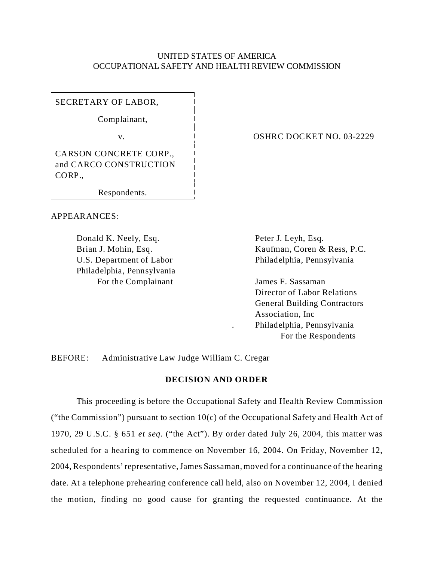## UNITED STATES OF AMERICA OCCUPATIONAL SAFETY AND HEALTH REVIEW COMMISSION

SECRETARY OF LABOR,

Complainant,

CARSON CONCRETE CORP., and CARCO CONSTRUCTION CORP.,

Respondents.

APPEARANCES:

Donald K. Neely, Esq. Peter J. Leyh, Esq. Philadelphia, Pennsylvania For the Complainant James F. Sassaman

v. 1 0SHRC DOCKET NO. 03-2229

Brian J. Mohin, Esq. Kaufman, Coren & Ress, P.C. U.S. Department of Labor Philadelphia, Pennsylvania

> Director of Labor Relations General Building Contractors Association, Inc . Philadelphia, Pennsylvania For the Respondents

BEFORE: Administrative Law Judge William C. Cregar

# **DECISION AND ORDER**

This proceeding is before the Occupational Safety and Health Review Commission ("the Commission") pursuant to section  $10(c)$  of the Occupational Safety and Health Act of 1970, 29 U.S.C. § 651 *et seq*. ("the Act"). By order dated July 26, 2004, this matter was scheduled for a hearing to commence on November 16, 2004. On Friday, November 12, 2004, Respondents' representative, James Sassaman, moved for a continuance of the hearing date. At a telephone prehearing conference call held, also on November 12, 2004, I denied the motion, finding no good cause for granting the requested continuance. At the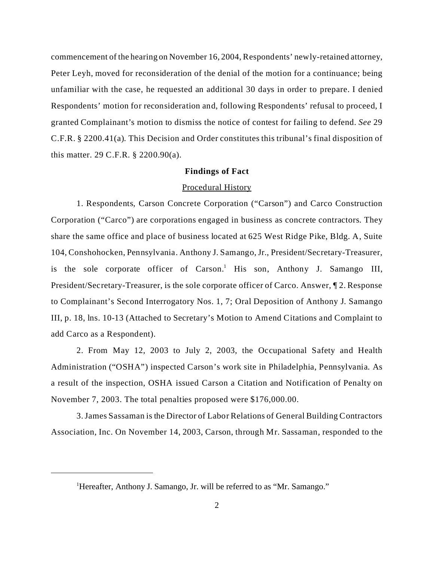commencement of the hearing on November 16, 2004, Respondents' newly-retained attorney, Peter Leyh, moved for reconsideration of the denial of the motion for a continuance; being unfamiliar with the case, he requested an additional 30 days in order to prepare. I denied Respondents' motion for reconsideration and, following Respondents' refusal to proceed, I granted Complainant's motion to dismiss the notice of contest for failing to defend. *See* 29 C.F.R. § 2200.41(a). This Decision and Order constitutes this tribunal's final disposition of this matter. 29 C.F.R. § 2200.90(a).

### **Findings of Fact**

### Procedural History

1. Respondents, Carson Concrete Corporation ("Carson") and Carco Construction Corporation ("Carco") are corporations engaged in business as concrete contractors. They share the same office and place of business located at 625 West Ridge Pike, Bldg. A, Suite 104, Conshohocken, Pennsylvania. Anthony J. Samango, Jr., President/Secretary-Treasurer, is the sole corporate officer of Carson.<sup>1</sup> His son, Anthony J. Samango III, President/Secretary-Treasurer, is the sole corporate officer of Carco. Answer, ¶ 2. Response to Complainant's Second Interrogatory Nos. 1, 7; Oral Deposition of Anthony J. Samango III, p. 18, lns. 10-13 (Attached to Secretary's Motion to Amend Citations and Complaint to add Carco as a Respondent).

2. From May 12, 2003 to July 2, 2003, the Occupational Safety and Health Administration ("OSHA") inspected Carson's work site in Philadelphia, Pennsylvania. As a result of the inspection, OSHA issued Carson a Citation and Notification of Penalty on November 7, 2003. The total penalties proposed were \$176,000.00.

3.James Sassaman is the Director of Labor Relations of General Building Contractors Association, Inc. On November 14, 2003, Carson, through Mr. Sassaman, responded to the

<sup>&</sup>lt;sup>1</sup>Hereafter, Anthony J. Samango, Jr. will be referred to as "Mr. Samango."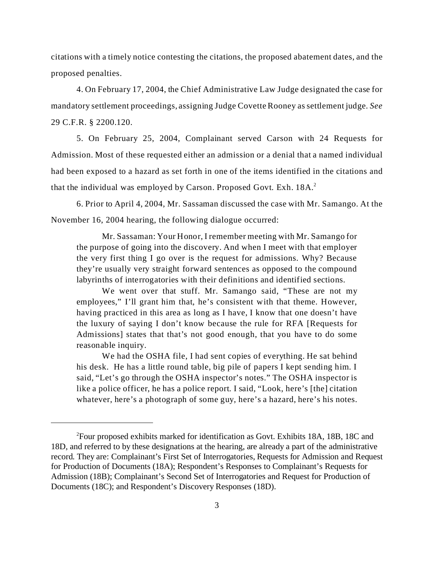citations with a timely notice contesting the citations, the proposed abatement dates, and the proposed penalties.

4. On February 17, 2004, the Chief Administrative Law Judge designated the case for mandatory settlement proceedings, assigning Judge Covette Rooney as settlement judge. *See*  29 C.F.R. § 2200.120.

5. On February 25, 2004, Complainant served Carson with 24 Requests for Admission. Most of these requested either an admission or a denial that a named individual had been exposed to a hazard as set forth in one of the items identified in the citations and that the individual was employed by Carson. Proposed Govt. Exh. 18A.<sup>2</sup>

6. Prior to April 4, 2004, Mr. Sassaman discussed the case with Mr. Samango. At the November 16, 2004 hearing, the following dialogue occurred:

Mr. Sassaman: Your Honor, I remember meeting with Mr. Samango for the purpose of going into the discovery. And when I meet with that employer the very first thing I go over is the request for admissions. Why? Because they're usually very straight forward sentences as opposed to the compound labyrinths of interrogatories with their definitions and identified sections.

We went over that stuff. Mr. Samango said, "These are not my employees," I'll grant him that, he's consistent with that theme. However, having practiced in this area as long as I have, I know that one doesn't have the luxury of saying I don't know because the rule for RFA [Requests for Admissions] states that that's not good enough, that you have to do some reasonable inquiry.

We had the OSHA file, I had sent copies of everything. He sat behind his desk. He has a little round table, big pile of papers I kept sending him. I said, "Let's go through the OSHA inspector's notes." The OSHA inspector is like a police officer, he has a police report. I said, "Look, here's [the] citation whatever, here's a photograph of some guy, here's a hazard, here's his notes.

<sup>2</sup> Four proposed exhibits marked for identification as Govt. Exhibits 18A, 18B, 18C and 18D, and referred to by these designations at the hearing, are already a part of the administrative record. They are: Complainant's First Set of Interrogatories, Requests for Admission and Request for Production of Documents (18A); Respondent's Responses to Complainant's Requests for Admission (18B); Complainant's Second Set of Interrogatories and Request for Production of Documents (18C); and Respondent's Discovery Responses (18D).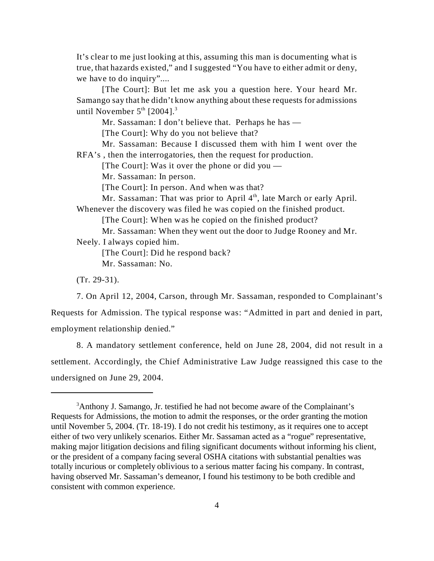It's clear to me just looking at this, assuming this man is documenting what is true, that hazards existed," and I suggested "You have to either admit or deny, we have to do inquiry"....

[The Court]: But let me ask you a question here. Your heard Mr. Samango say that he didn't know anything about these requests for admissions until November  $5<sup>th</sup>$  [2004].<sup>3</sup>

Mr. Sassaman: I don't believe that. Perhaps he has —

[The Court]: Why do you not believe that?

Mr. Sassaman: Because I discussed them with him I went over the RFA's , then the interrogatories, then the request for production.

[The Court]: Was it over the phone or did you  $-$ 

Mr. Sassaman: In person.

[The Court]: In person. And when was that?

Mr. Sassaman: That was prior to April  $4<sup>th</sup>$ , late March or early April. Whenever the discovery was filed he was copied on the finished product.

[The Court]: When was he copied on the finished product?

Mr. Sassaman: When they went out the door to Judge Rooney and Mr. Neely. I always copied him.

[The Court]: Did he respond back? Mr. Sassaman: No.

(Tr. 29-31).

7. On April 12, 2004, Carson, through Mr. Sassaman, responded to Complainant's

Requests for Admission. The typical response was: "Admitted in part and denied in part, employment relationship denied."

8. A mandatory settlement conference, held on June 28, 2004, did not result in a settlement. Accordingly, the Chief Administrative Law Judge reassigned this case to the undersigned on June 29, 2004.

<sup>3</sup> Anthony J. Samango, Jr. testified he had not become aware of the Complainant's Requests for Admissions, the motion to admit the responses, or the order granting the motion until November 5, 2004. (Tr. 18-19). I do not credit his testimony, as it requires one to accept either of two very unlikely scenarios. Either Mr. Sassaman acted as a "rogue" representative, making major litigation decisions and filing significant documents without informing his client, or the president of a company facing several OSHA citations with substantial penalties was totally incurious or completely oblivious to a serious matter facing his company. In contrast, having observed Mr. Sassaman's demeanor, I found his testimony to be both credible and consistent with common experience.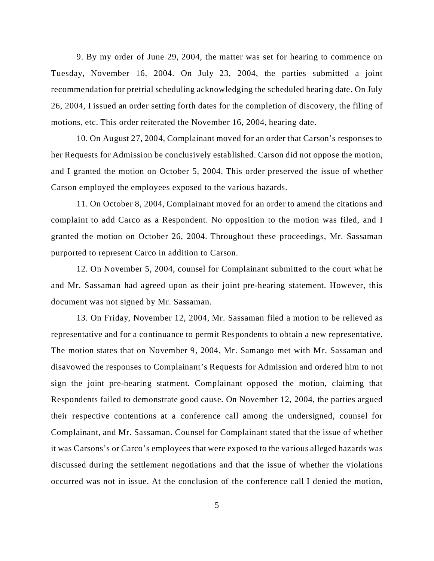9. By my order of June 29, 2004, the matter was set for hearing to commence on Tuesday, November 16, 2004. On July 23, 2004, the parties submitted a joint recommendation for pretrial scheduling acknowledging the scheduled hearing date. On July 26, 2004, I issued an order setting forth dates for the completion of discovery, the filing of motions, etc. This order reiterated the November 16, 2004, hearing date.

10. On August 27, 2004, Complainant moved for an order that Carson's responses to her Requests for Admission be conclusively established. Carson did not oppose the motion, and I granted the motion on October 5, 2004. This order preserved the issue of whether Carson employed the employees exposed to the various hazards.

11. On October 8, 2004, Complainant moved for an order to amend the citations and complaint to add Carco as a Respondent. No opposition to the motion was filed, and I granted the motion on October 26, 2004. Throughout these proceedings, Mr. Sassaman purported to represent Carco in addition to Carson.

12. On November 5, 2004, counsel for Complainant submitted to the court what he and Mr. Sassaman had agreed upon as their joint pre-hearing statement. However, this document was not signed by Mr. Sassaman.

13. On Friday, November 12, 2004, Mr. Sassaman filed a motion to be relieved as representative and for a continuance to permit Respondents to obtain a new representative. The motion states that on November 9, 2004, Mr. Samango met with Mr. Sassaman and disavowed the responses to Complainant's Requests for Admission and ordered him to not sign the joint pre-hearing statment. Complainant opposed the motion, claiming that Respondents failed to demonstrate good cause. On November 12, 2004, the parties argued their respective contentions at a conference call among the undersigned, counsel for Complainant, and Mr. Sassaman. Counsel for Complainant stated that the issue of whether it was Carsons's or Carco's employees that were exposed to the various alleged hazards was discussed during the settlement negotiations and that the issue of whether the violations occurred was not in issue. At the conclusion of the conference call I denied the motion,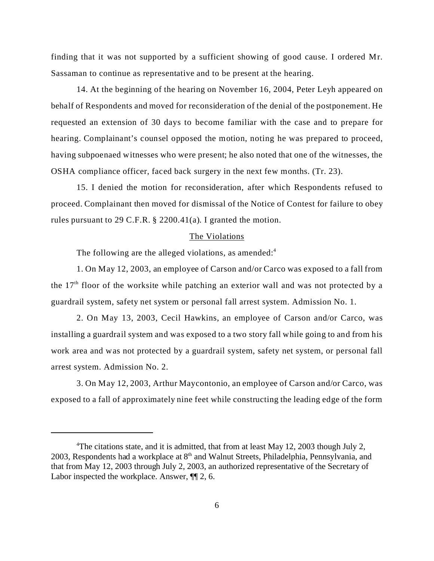finding that it was not supported by a sufficient showing of good cause. I ordered Mr. Sassaman to continue as representative and to be present at the hearing.

14. At the beginning of the hearing on November 16, 2004, Peter Leyh appeared on behalf of Respondents and moved for reconsideration of the denial of the postponement. He requested an extension of 30 days to become familiar with the case and to prepare for hearing. Complainant's counsel opposed the motion, noting he was prepared to proceed, having subpoenaed witnesses who were present; he also noted that one of the witnesses, the OSHA compliance officer, faced back surgery in the next few months. (Tr. 23).

15. I denied the motion for reconsideration, after which Respondents refused to proceed. Complainant then moved for dismissal of the Notice of Contest for failure to obey rules pursuant to 29 C.F.R. § 2200.41(a). I granted the motion.

#### The Violations

The following are the alleged violations, as amended: $4$ 

1. On May 12, 2003, an employee of Carson and/or Carco was exposed to a fall from the  $17<sup>th</sup>$  floor of the worksite while patching an exterior wall and was not protected by a guardrail system, safety net system or personal fall arrest system. Admission No. 1.

2. On May 13, 2003, Cecil Hawkins, an employee of Carson and/or Carco, was installing a guardrail system and was exposed to a two story fall while going to and from his work area and was not protected by a guardrail system, safety net system, or personal fall arrest system. Admission No. 2.

3. On May 12, 2003, Arthur Maycontonio, an employee of Carson and/or Carco, was exposed to a fall of approximately nine feet while constructing the leading edge of the form

<sup>&</sup>lt;sup>4</sup>The citations state, and it is admitted, that from at least May 12, 2003 though July 2, 2003, Respondents had a workplace at  $8<sup>th</sup>$  and Walnut Streets, Philadelphia, Pennsylvania, and that from May 12, 2003 through July 2, 2003, an authorized representative of the Secretary of Labor inspected the workplace. Answer, ¶¶ 2, 6.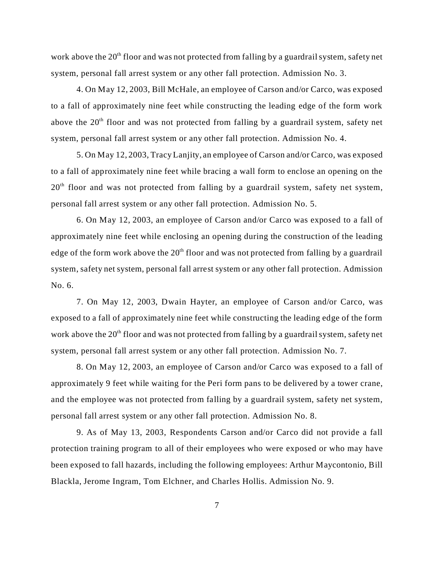work above the  $20<sup>th</sup>$  floor and was not protected from falling by a guardrail system, safety net system, personal fall arrest system or any other fall protection. Admission No. 3.

4. On May 12, 2003, Bill McHale, an employee of Carson and/or Carco, was exposed to a fall of approximately nine feet while constructing the leading edge of the form work above the  $20<sup>th</sup>$  floor and was not protected from falling by a guardrail system, safety net system, personal fall arrest system or any other fall protection. Admission No. 4.

5. On May 12, 2003, Tracy Lanjity, an employee of Carson and/or Carco, was exposed to a fall of approximately nine feet while bracing a wall form to enclose an opening on the  $20<sup>th</sup>$  floor and was not protected from falling by a guardrail system, safety net system, personal fall arrest system or any other fall protection. Admission No. 5.

6. On May 12, 2003, an employee of Carson and/or Carco was exposed to a fall of approximately nine feet while enclosing an opening during the construction of the leading edge of the form work above the  $20<sup>th</sup>$  floor and was not protected from falling by a guardrail system, safety net system, personal fall arrest system or any other fall protection. Admission No. 6.

7. On May 12, 2003, Dwain Hayter, an employee of Carson and/or Carco, was exposed to a fall of approximately nine feet while constructing the leading edge of the form work above the  $20<sup>th</sup>$  floor and was not protected from falling by a guardrail system, safety net system, personal fall arrest system or any other fall protection. Admission No. 7.

8. On May 12, 2003, an employee of Carson and/or Carco was exposed to a fall of approximately 9 feet while waiting for the Peri form pans to be delivered by a tower crane, and the employee was not protected from falling by a guardrail system, safety net system, personal fall arrest system or any other fall protection. Admission No. 8.

9. As of May 13, 2003, Respondents Carson and/or Carco did not provide a fall protection training program to all of their employees who were exposed or who may have been exposed to fall hazards, including the following employees: Arthur Maycontonio, Bill Blackla, Jerome Ingram, Tom Elchner, and Charles Hollis. Admission No. 9.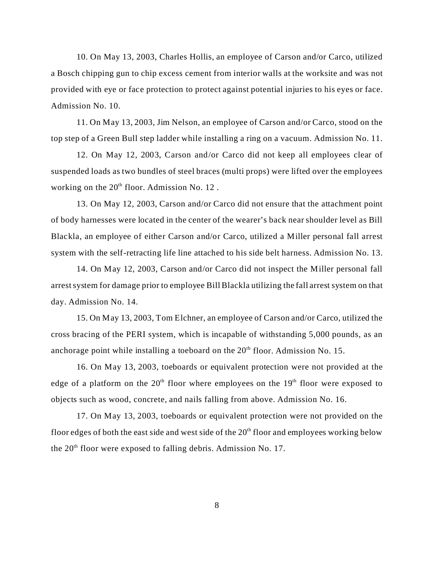10. On May 13, 2003, Charles Hollis, an employee of Carson and/or Carco, utilized a Bosch chipping gun to chip excess cement from interior walls at the worksite and was not provided with eye or face protection to protect against potential injuries to his eyes or face. Admission No. 10.

11. On May 13, 2003, Jim Nelson, an employee of Carson and/or Carco, stood on the top step of a Green Bull step ladder while installing a ring on a vacuum. Admission No. 11.

12. On May 12, 2003, Carson and/or Carco did not keep all employees clear of suspended loads as two bundles of steel braces (multi props) were lifted over the employees working on the  $20<sup>th</sup>$  floor. Admission No. 12.

13. On May 12, 2003, Carson and/or Carco did not ensure that the attachment point of body harnesses were located in the center of the wearer's back near shoulder level as Bill Blackla, an employee of either Carson and/or Carco, utilized a Miller personal fall arrest system with the self-retracting life line attached to his side belt harness. Admission No. 13.

14. On May 12, 2003, Carson and/or Carco did not inspect the Miller personal fall arrest system for damage prior to employee Bill Blackla utilizing the fall arrest system on that day. Admission No. 14.

15. On May 13, 2003, Tom Elchner, an employee of Carson and/or Carco, utilized the cross bracing of the PERI system, which is incapable of withstanding 5,000 pounds, as an anchorage point while installing a toeboard on the  $20<sup>th</sup>$  floor. Admission No. 15.

16. On May 13, 2003, toeboards or equivalent protection were not provided at the edge of a platform on the  $20<sup>th</sup>$  floor where employees on the  $19<sup>th</sup>$  floor were exposed to objects such as wood, concrete, and nails falling from above. Admission No. 16.

17. On May 13, 2003, toeboards or equivalent protection were not provided on the floor edges of both the east side and west side of the  $20<sup>th</sup>$  floor and employees working below the  $20<sup>th</sup>$  floor were exposed to falling debris. Admission No. 17.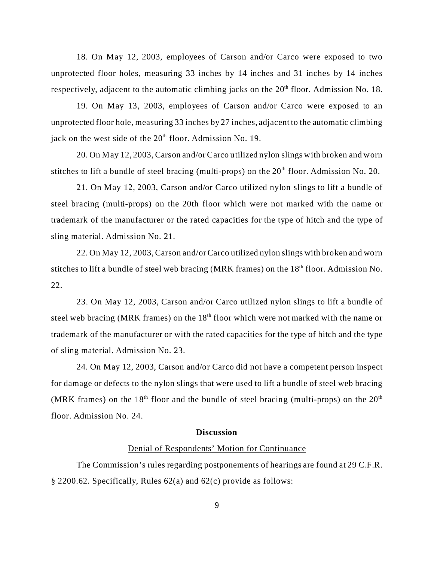18. On May 12, 2003, employees of Carson and/or Carco were exposed to two unprotected floor holes, measuring 33 inches by 14 inches and 31 inches by 14 inches respectively, adjacent to the automatic climbing jacks on the  $20<sup>th</sup>$  floor. Admission No. 18.

19. On May 13, 2003, employees of Carson and/or Carco were exposed to an unprotected floor hole, measuring 33 inches by 27 inches, adjacent to the automatic climbing jack on the west side of the  $20<sup>th</sup>$  floor. Admission No. 19.

20. On May 12, 2003, Carson and/or Carco utilized nylon slings with broken and worn stitches to lift a bundle of steel bracing (multi-props) on the  $20<sup>th</sup>$  floor. Admission No. 20.

21. On May 12, 2003, Carson and/or Carco utilized nylon slings to lift a bundle of steel bracing (multi-props) on the 20th floor which were not marked with the name or trademark of the manufacturer or the rated capacities for the type of hitch and the type of sling material. Admission No. 21.

22. On May 12, 2003, Carson and/or Carco utilized nylon slings with broken and worn stitches to lift a bundle of steel web bracing (MRK frames) on the  $18<sup>th</sup>$  floor. Admission No. 22.

23. On May 12, 2003, Carson and/or Carco utilized nylon slings to lift a bundle of steel web bracing (MRK frames) on the  $18<sup>th</sup>$  floor which were not marked with the name or trademark of the manufacturer or with the rated capacities for the type of hitch and the type of sling material. Admission No. 23.

24. On May 12, 2003, Carson and/or Carco did not have a competent person inspect for damage or defects to the nylon slings that were used to lift a bundle of steel web bracing (MRK frames) on the 18<sup>th</sup> floor and the bundle of steel bracing (multi-props) on the  $20<sup>th</sup>$ floor. Admission No. 24.

#### **Discussion**

### Denial of Respondents' Motion for Continuance

The Commission's rules regarding postponements of hearings are found at 29 C.F.R. § 2200.62. Specifically, Rules 62(a) and 62(c) provide as follows: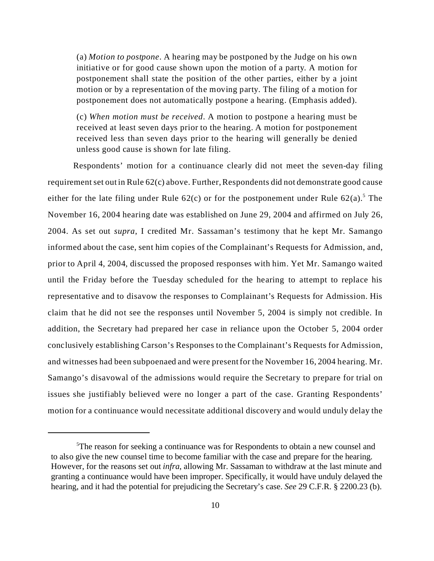(a) *Motion to postpone*. A hearing may be postponed by the Judge on his own initiative or for good cause shown upon the motion of a party. A motion for postponement shall state the position of the other parties, either by a joint motion or by a representation of the moving party. The filing of a motion for postponement does not automatically postpone a hearing. (Emphasis added).

(c) *When motion must be received*. A motion to postpone a hearing must be received at least seven days prior to the hearing. A motion for postponement received less than seven days prior to the hearing will generally be denied unless good cause is shown for late filing.

Respondents' motion for a continuance clearly did not meet the seven-day filing requirement set out in Rule 62(c) above. Further, Respondents did not demonstrate good cause either for the late filing under Rule  $62(c)$  or for the postponement under Rule  $62(a)$ .<sup>5</sup> The November 16, 2004 hearing date was established on June 29, 2004 and affirmed on July 26, 2004. As set out *supra*, I credited Mr. Sassaman's testimony that he kept Mr. Samango informed about the case, sent him copies of the Complainant's Requests for Admission, and, prior to April 4, 2004, discussed the proposed responses with him. Yet Mr. Samango waited until the Friday before the Tuesday scheduled for the hearing to attempt to replace his representative and to disavow the responses to Complainant's Requests for Admission. His claim that he did not see the responses until November 5, 2004 is simply not credible. In addition, the Secretary had prepared her case in reliance upon the October 5, 2004 order conclusively establishing Carson's Responses to the Complainant's Requests for Admission, and witnesses had been subpoenaed and were present for the November 16, 2004 hearing. Mr. Samango's disavowal of the admissions would require the Secretary to prepare for trial on issues she justifiably believed were no longer a part of the case. Granting Respondents' motion for a continuance would necessitate additional discovery and would unduly delay the

<sup>&</sup>lt;sup>5</sup>The reason for seeking a continuance was for Respondents to obtain a new counsel and to also give the new counsel time to become familiar with the case and prepare for the hearing. However, for the reasons set out *infra*, allowing Mr. Sassaman to withdraw at the last minute and granting a continuance would have been improper. Specifically, it would have unduly delayed the hearing, and it had the potential for prejudicing the Secretary's case. *See* 29 C.F.R. § 2200.23 (b).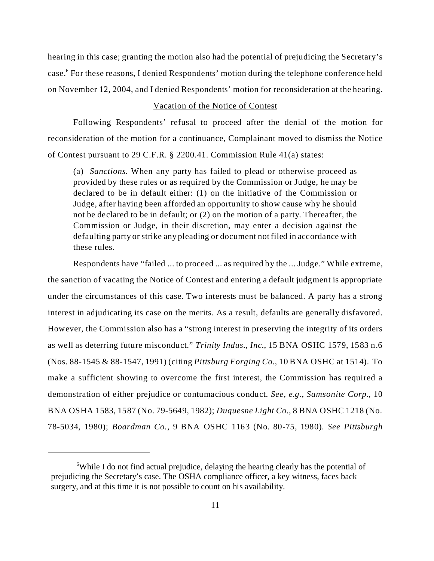hearing in this case; granting the motion also had the potential of prejudicing the Secretary's case.<sup>6</sup> For these reasons, I denied Respondents' motion during the telephone conference held on November 12, 2004, and I denied Respondents' motion for reconsideration at the hearing.

## Vacation of the Notice of Contest

Following Respondents' refusal to proceed after the denial of the motion for reconsideration of the motion for a continuance, Complainant moved to dismiss the Notice of Contest pursuant to 29 C.F.R. § 2200.41. Commission Rule 41(a) states:

(a) *Sanctions*. When any party has failed to plead or otherwise proceed as provided by these rules or as required by the Commission or Judge, he may be declared to be in default either: (1) on the initiative of the Commission or Judge, after having been afforded an opportunity to show cause why he should not be declared to be in default; or (2) on the motion of a party. Thereafter, the Commission or Judge, in their discretion, may enter a decision against the defaulting party or strike any pleading or document not filed in accordance with these rules.

Respondents have "failed ... to proceed ... as required by the ... Judge." While extreme, the sanction of vacating the Notice of Contest and entering a default judgment is appropriate under the circumstances of this case. Two interests must be balanced. A party has a strong interest in adjudicating its case on the merits. As a result, defaults are generally disfavored. However, the Commission also has a "strong interest in preserving the integrity of its orders as well as deterring future misconduct." *Trinity Indus., Inc*., 15 BNA OSHC 1579, 1583 n.6 (Nos. 88-1545 & 88-1547, 1991) (citing *Pittsburg Forging Co.*, 10 BNA OSHC at 1514). To make a sufficient showing to overcome the first interest, the Commission has required a demonstration of either prejudice or contumacious conduct. *See, e.g.*, *Samsonite Corp.*, 10 BNA OSHA 1583, 1587 (No. 79-5649, 1982); *Duquesne Light Co.*, 8 BNA OSHC 1218 (No. 78-5034, 1980); *Boardman Co.*, 9 BNA OSHC 1163 (No. 80-75, 1980). *See Pittsburgh* 

<sup>&</sup>lt;sup>6</sup>While I do not find actual prejudice, delaying the hearing clearly has the potential of prejudicing the Secretary's case. The OSHA compliance officer, a key witness, faces back surgery, and at this time it is not possible to count on his availability.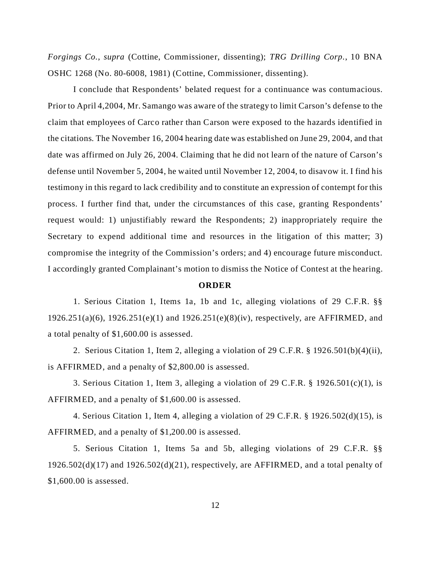*Forgings Co.*, *supra* (Cottine, Commissioner, dissenting); *TRG Drilling Corp*., 10 BNA OSHC 1268 (No. 80-6008, 1981) (Cottine, Commissioner, dissenting).

I conclude that Respondents' belated request for a continuance was contumacious. Prior to April 4,2004, Mr. Samango was aware of the strategy to limit Carson's defense to the claim that employees of Carco rather than Carson were exposed to the hazards identified in the citations. The November 16, 2004 hearing date was established on June 29, 2004, and that date was affirmed on July 26, 2004. Claiming that he did not learn of the nature of Carson's defense until November 5, 2004, he waited until November 12, 2004, to disavow it. I find his testimony in this regard to lack credibility and to constitute an expression of contempt for this process. I further find that, under the circumstances of this case, granting Respondents' request would: 1) unjustifiably reward the Respondents; 2) inappropriately require the Secretary to expend additional time and resources in the litigation of this matter; 3) compromise the integrity of the Commission's orders; and 4) encourage future misconduct. I accordingly granted Complainant's motion to dismiss the Notice of Contest at the hearing.

### **ORDER**

1. Serious Citation 1, Items 1a, 1b and 1c, alleging violations of 29 C.F.R. §§ 1926.251(a)(6), 1926.251(e)(1) and 1926.251(e)(8)(iv), respectively, are AFFIRMED, and a total penalty of \$1,600.00 is assessed.

2. Serious Citation 1, Item 2, alleging a violation of 29 C.F.R. § 1926.501(b)(4)(ii), is AFFIRMED, and a penalty of \$2,800.00 is assessed.

3. Serious Citation 1, Item 3, alleging a violation of 29 C.F.R. § 1926.501(c)(1), is AFFIRMED, and a penalty of \$1,600.00 is assessed.

4. Serious Citation 1, Item 4, alleging a violation of 29 C.F.R. § 1926.502(d)(15), is AFFIRMED, and a penalty of \$1,200.00 is assessed.

5. Serious Citation 1, Items 5a and 5b, alleging violations of 29 C.F.R. §§  $1926.502(d)(17)$  and  $1926.502(d)(21)$ , respectively, are AFFIRMED, and a total penalty of \$1,600.00 is assessed.